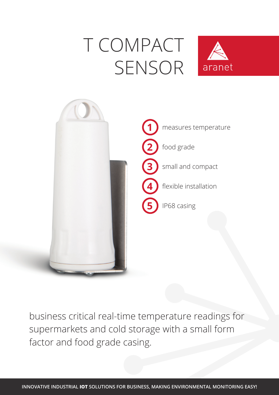## Τ COMPACT SENSOR





business critical real-time temperature readings for supermarkets and cold storage with a small form factor and food grade casing.